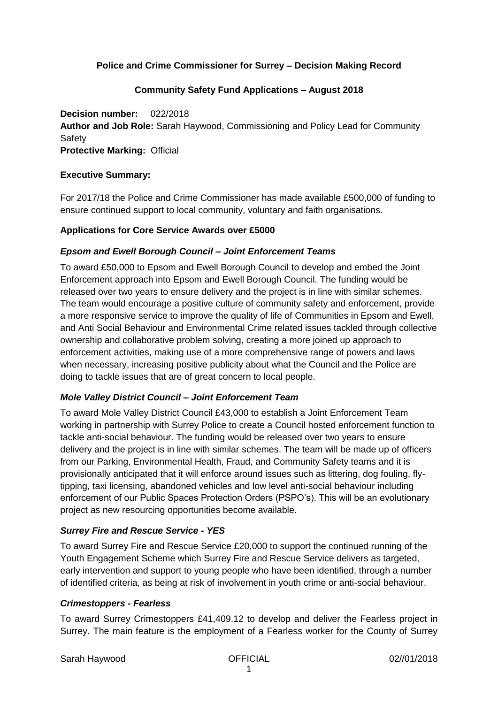### **Police and Crime Commissioner for Surrey – Decision Making Record**

### **Community Safety Fund Applications – August 2018**

**Decision number:** 022/2018 **Author and Job Role:** Sarah Haywood, Commissioning and Policy Lead for Community **Safety Protective Marking:** Official

### **Executive Summary:**

For 2017/18 the Police and Crime Commissioner has made available £500,000 of funding to ensure continued support to local community, voluntary and faith organisations.

### **Applications for Core Service Awards over £5000**

### *Epsom and Ewell Borough Council – Joint Enforcement Teams*

To award £50,000 to Epsom and Ewell Borough Council to develop and embed the Joint Enforcement approach into Epsom and Ewell Borough Council. The funding would be released over two years to ensure delivery and the project is in line with similar schemes. The team would encourage a positive culture of community safety and enforcement, provide a more responsive service to improve the quality of life of Communities in Epsom and Ewell, and Anti Social Behaviour and Environmental Crime related issues tackled through collective ownership and collaborative problem solving, creating a more joined up approach to enforcement activities, making use of a more comprehensive range of powers and laws when necessary, increasing positive publicity about what the Council and the Police are doing to tackle issues that are of great concern to local people.

### *Mole Valley District Council – Joint Enforcement Team*

To award Mole Valley District Council £43,000 to establish a Joint Enforcement Team working in partnership with Surrey Police to create a Council hosted enforcement function to tackle anti-social behaviour. The funding would be released over two years to ensure delivery and the project is in line with similar schemes. The team will be made up of officers from our Parking, Environmental Health, Fraud, and Community Safety teams and it is provisionally anticipated that it will enforce around issues such as littering, dog fouling, flytipping, taxi licensing, abandoned vehicles and low level anti-social behaviour including enforcement of our Public Spaces Protection Orders (PSPO's). This will be an evolutionary project as new resourcing opportunities become available.

### *Surrey Fire and Rescue Service - YES*

To award Surrey Fire and Rescue Service £20,000 to support the continued running of the Youth Engagement Scheme which Surrey Fire and Rescue Service delivers as targeted, early intervention and support to young people who have been identified, through a number of identified criteria, as being at risk of involvement in youth crime or anti-social behaviour.

#### *Crimestoppers - Fearless*

To award Surrey Crimestoppers £41,409.12 to develop and deliver the Fearless project in Surrey. The main feature is the employment of a Fearless worker for the County of Surrey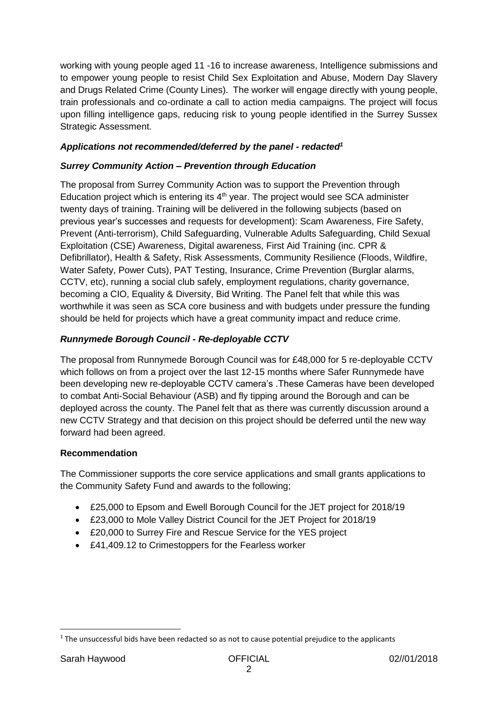working with young people aged 11 -16 to increase awareness, Intelligence submissions and to empower young people to resist Child Sex Exploitation and Abuse, Modern Day Slavery and Drugs Related Crime (County Lines). The worker will engage directly with young people, train professionals and co-ordinate a call to action media campaigns. The project will focus upon filling intelligence gaps, reducing risk to young people identified in the Surrey Sussex Strategic Assessment.

## *Applications not recommended/deferred by the panel - redacted<sup>1</sup>*

# *Surrey Community Action – Prevention through Education*

The proposal from Surrey Community Action was to support the Prevention through Education project which is entering its  $4<sup>th</sup>$  year. The project would see SCA administer twenty days of training. Training will be delivered in the following subjects (based on previous year's successes and requests for development): Scam Awareness, Fire Safety, Prevent (Anti-terrorism), Child Safeguarding, Vulnerable Adults Safeguarding, Child Sexual Exploitation (CSE) Awareness, Digital awareness, First Aid Training (inc. CPR & Defibrillator), Health & Safety, Risk Assessments, Community Resilience (Floods, Wildfire, Water Safety, Power Cuts), PAT Testing, Insurance, Crime Prevention (Burglar alarms, CCTV, etc), running a social club safely, employment regulations, charity governance, becoming a CIO, Equality & Diversity, Bid Writing. The Panel felt that while this was worthwhile it was seen as SCA core business and with budgets under pressure the funding should be held for projects which have a great community impact and reduce crime.

# *Runnymede Borough Council - Re-deployable CCTV*

The proposal from Runnymede Borough Council was for £48,000 for 5 re-deployable CCTV which follows on from a project over the last 12-15 months where Safer Runnymede have been developing new re-deployable CCTV camera's .These Cameras have been developed to combat Anti-Social Behaviour (ASB) and fly tipping around the Borough and can be deployed across the county. The Panel felt that as there was currently discussion around a new CCTV Strategy and that decision on this project should be deferred until the new way forward had been agreed.

## **Recommendation**

The Commissioner supports the core service applications and small grants applications to the Community Safety Fund and awards to the following;

- £25,000 to Epsom and Ewell Borough Council for the JET project for 2018/19
- £23,000 to Mole Valley District Council for the JET Project for 2018/19
- £20,000 to Surrey Fire and Rescue Service for the YES project
- £41,409.12 to Crimestoppers for the Fearless worker

**.** 

<sup>&</sup>lt;sup>1</sup> The unsuccessful bids have been redacted so as not to cause potential prejudice to the applicants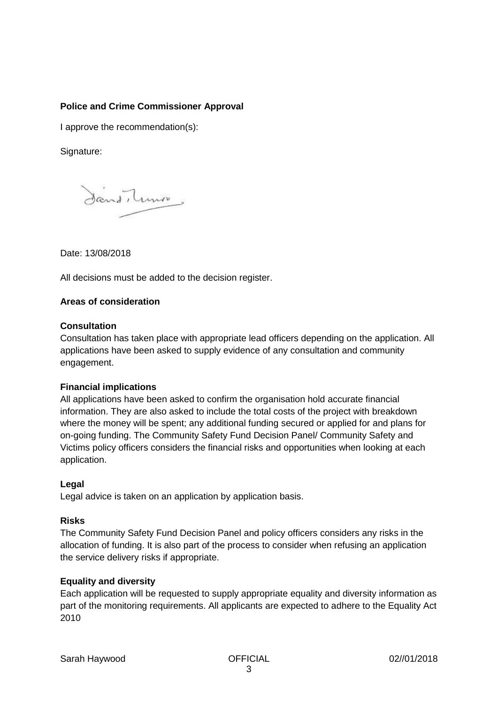### **Police and Crime Commissioner Approval**

I approve the recommendation(s):

### Signature:

Dans Tuno

Date: 13/08/2018

All decisions must be added to the decision register.

### **Areas of consideration**

### **Consultation**

Consultation has taken place with appropriate lead officers depending on the application. All applications have been asked to supply evidence of any consultation and community engagement.

### **Financial implications**

All applications have been asked to confirm the organisation hold accurate financial information. They are also asked to include the total costs of the project with breakdown where the money will be spent; any additional funding secured or applied for and plans for on-going funding. The Community Safety Fund Decision Panel/ Community Safety and Victims policy officers considers the financial risks and opportunities when looking at each application.

### **Legal**

Legal advice is taken on an application by application basis.

### **Risks**

The Community Safety Fund Decision Panel and policy officers considers any risks in the allocation of funding. It is also part of the process to consider when refusing an application the service delivery risks if appropriate.

### **Equality and diversity**

Each application will be requested to supply appropriate equality and diversity information as part of the monitoring requirements. All applicants are expected to adhere to the Equality Act 2010